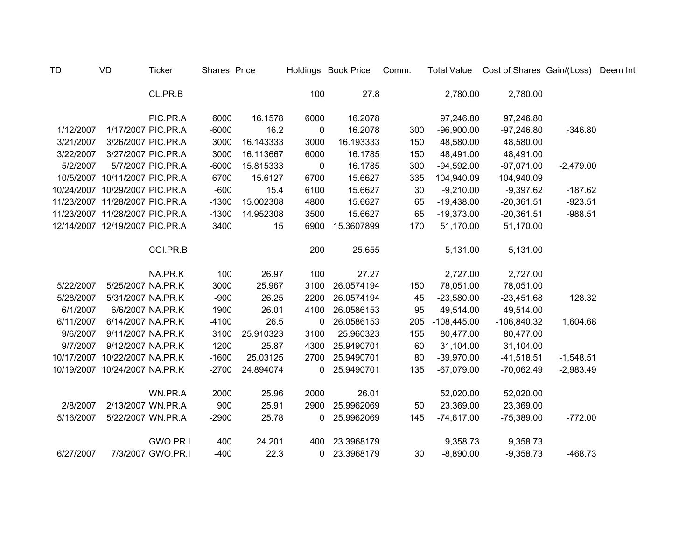| <b>TD</b> | VD                             | <b>Ticker</b>      | Shares Price |           |             | Holdings Book Price | Comm. | <b>Total Value</b> | Cost of Shares Gain/(Loss) Deem Int |             |  |
|-----------|--------------------------------|--------------------|--------------|-----------|-------------|---------------------|-------|--------------------|-------------------------------------|-------------|--|
|           |                                | CL.PR.B            |              |           | 100         | 27.8                |       | 2,780.00           | 2,780.00                            |             |  |
|           |                                | PIC.PR.A           | 6000         | 16.1578   | 6000        | 16.2078             |       | 97,246.80          | 97,246.80                           |             |  |
| 1/12/2007 |                                | 1/17/2007 PIC.PR.A | $-6000$      | 16.2      | 0           | 16.2078             | 300   | $-96,900.00$       | $-97,246.80$                        | $-346.80$   |  |
| 3/21/2007 |                                | 3/26/2007 PIC.PR.A | 3000         | 16.143333 | 3000        | 16.193333           | 150   | 48,580.00          | 48,580.00                           |             |  |
| 3/22/2007 |                                | 3/27/2007 PIC.PR.A | 3000         | 16.113667 | 6000        | 16.1785             | 150   | 48,491.00          | 48,491.00                           |             |  |
| 5/2/2007  |                                | 5/7/2007 PIC.PR.A  | $-6000$      | 15.815333 | 0           | 16.1785             | 300   | $-94,592.00$       | $-97,071.00$                        | $-2,479.00$ |  |
|           | 10/5/2007 10/11/2007 PIC.PR.A  |                    | 6700         | 15.6127   | 6700        | 15.6627             | 335   | 104,940.09         | 104,940.09                          |             |  |
|           | 10/24/2007 10/29/2007 PIC.PR.A |                    | $-600$       | 15.4      | 6100        | 15.6627             | 30    | $-9,210.00$        | $-9,397.62$                         | $-187.62$   |  |
|           | 11/23/2007 11/28/2007 PIC.PR.A |                    | $-1300$      | 15.002308 | 4800        | 15.6627             | 65    | $-19,438.00$       | $-20,361.51$                        | $-923.51$   |  |
|           | 11/23/2007 11/28/2007 PIC.PR.A |                    | $-1300$      | 14.952308 | 3500        | 15.6627             | 65    | $-19,373.00$       | $-20,361.51$                        | $-988.51$   |  |
|           | 12/14/2007 12/19/2007 PIC.PR.A |                    | 3400         | 15        | 6900        | 15.3607899          | 170   | 51,170.00          | 51,170.00                           |             |  |
|           |                                | CGI.PR.B           |              |           | 200         | 25.655              |       | 5,131.00           | 5,131.00                            |             |  |
|           |                                | NA.PR.K            | 100          | 26.97     | 100         | 27.27               |       | 2,727.00           | 2,727.00                            |             |  |
| 5/22/2007 | 5/25/2007 NA.PR.K              |                    | 3000         | 25.967    | 3100        | 26.0574194          | 150   | 78,051.00          | 78,051.00                           |             |  |
| 5/28/2007 | 5/31/2007 NA.PR.K              |                    | $-900$       | 26.25     | 2200        | 26.0574194          | 45    | $-23,580.00$       | $-23,451.68$                        | 128.32      |  |
| 6/1/2007  |                                | 6/6/2007 NA.PR.K   | 1900         | 26.01     | 4100        | 26.0586153          | 95    | 49,514.00          | 49,514.00                           |             |  |
| 6/11/2007 | 6/14/2007 NA.PR.K              |                    | $-4100$      | 26.5      | $\mathbf 0$ | 26.0586153          | 205   | $-108,445.00$      | $-106,840.32$                       | 1,604.68    |  |
| 9/6/2007  | 9/11/2007 NA.PR.K              |                    | 3100         | 25.910323 | 3100        | 25.960323           | 155   | 80,477.00          | 80,477.00                           |             |  |
| 9/7/2007  | 9/12/2007 NA.PR.K              |                    | 1200         | 25.87     | 4300        | 25.9490701          | 60    | 31,104.00          | 31,104.00                           |             |  |
|           | 10/17/2007 10/22/2007 NA.PR.K  |                    | $-1600$      | 25.03125  | 2700        | 25.9490701          | 80    | $-39,970.00$       | $-41,518.51$                        | $-1,548.51$ |  |
|           | 10/19/2007 10/24/2007 NA.PR.K  |                    | $-2700$      | 24.894074 | 0           | 25.9490701          | 135   | $-67,079.00$       | $-70,062.49$                        | $-2,983.49$ |  |
|           |                                | WN.PR.A            | 2000         | 25.96     | 2000        | 26.01               |       | 52,020.00          | 52,020.00                           |             |  |
| 2/8/2007  |                                | 2/13/2007 WN.PR.A  | 900          | 25.91     | 2900        | 25.9962069          | 50    | 23,369.00          | 23,369.00                           |             |  |
| 5/16/2007 |                                | 5/22/2007 WN.PR.A  | $-2900$      | 25.78     | 0           | 25.9962069          | 145   | $-74,617.00$       | $-75,389.00$                        | $-772.00$   |  |
|           |                                | GWO.PR.I           | 400          | 24.201    | 400         | 23.3968179          |       | 9,358.73           | 9,358.73                            |             |  |
| 6/27/2007 |                                | 7/3/2007 GWO.PR.I  | $-400$       | 22.3      | 0           | 23.3968179          | 30    | $-8,890.00$        | $-9,358.73$                         | $-468.73$   |  |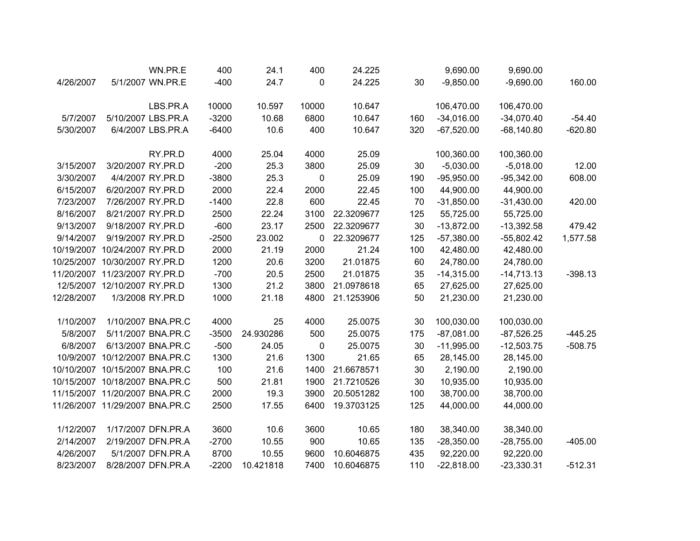|            |                                | WN.PR.E            | 400     | 24.1      | 400          | 24.225     |     | 9,690.00     | 9,690.00     |           |
|------------|--------------------------------|--------------------|---------|-----------|--------------|------------|-----|--------------|--------------|-----------|
| 4/26/2007  |                                | 5/1/2007 WN.PR.E   | $-400$  | 24.7      | 0            | 24.225     | 30  | $-9,850.00$  | $-9,690.00$  | 160.00    |
|            |                                | LBS.PR.A           | 10000   | 10.597    | 10000        | 10.647     |     | 106,470.00   | 106,470.00   |           |
| 5/7/2007   |                                | 5/10/2007 LBS.PR.A | $-3200$ | 10.68     | 6800         | 10.647     | 160 | $-34,016.00$ | $-34,070.40$ | $-54.40$  |
| 5/30/2007  |                                | 6/4/2007 LBS.PR.A  | $-6400$ | 10.6      | 400          | 10.647     | 320 | $-67,520.00$ | $-68,140.80$ | $-620.80$ |
|            |                                | RY.PR.D            | 4000    | 25.04     | 4000         | 25.09      |     | 100,360.00   | 100,360.00   |           |
| 3/15/2007  | 3/20/2007 RY.PR.D              |                    | $-200$  | 25.3      | 3800         | 25.09      | 30  | $-5,030.00$  | $-5,018.00$  | 12.00     |
| 3/30/2007  |                                | 4/4/2007 RY.PR.D   | $-3800$ | 25.3      | 0            | 25.09      | 190 | $-95,950.00$ | $-95,342.00$ | 608.00    |
| 6/15/2007  | 6/20/2007 RY.PR.D              |                    | 2000    | 22.4      | 2000         | 22.45      | 100 | 44,900.00    | 44,900.00    |           |
| 7/23/2007  | 7/26/2007 RY.PR.D              |                    | $-1400$ | 22.8      | 600          | 22.45      | 70  | $-31,850.00$ | $-31,430.00$ | 420.00    |
| 8/16/2007  | 8/21/2007 RY.PR.D              |                    | 2500    | 22.24     | 3100         | 22.3209677 | 125 | 55,725.00    | 55,725.00    |           |
| 9/13/2007  | 9/18/2007 RY.PR.D              |                    | $-600$  | 23.17     | 2500         | 22.3209677 | 30  | $-13,872.00$ | $-13,392.58$ | 479.42    |
| 9/14/2007  | 9/19/2007 RY.PR.D              |                    | $-2500$ | 23.002    | $\mathbf{0}$ | 22.3209677 | 125 | $-57,380.00$ | $-55,802.42$ | 1,577.58  |
|            | 10/19/2007 10/24/2007 RY.PR.D  |                    | 2000    | 21.19     | 2000         | 21.24      | 100 | 42,480.00    | 42,480.00    |           |
|            | 10/25/2007 10/30/2007 RY.PR.D  |                    | 1200    | 20.6      | 3200         | 21.01875   | 60  | 24,780.00    | 24,780.00    |           |
|            | 11/20/2007 11/23/2007 RY.PR.D  |                    | $-700$  | 20.5      | 2500         | 21.01875   | 35  | $-14,315.00$ | $-14,713.13$ | $-398.13$ |
|            | 12/5/2007 12/10/2007 RY.PR.D   |                    | 1300    | 21.2      | 3800         | 21.0978618 | 65  | 27,625.00    | 27,625.00    |           |
| 12/28/2007 |                                | 1/3/2008 RY.PR.D   | 1000    | 21.18     | 4800         | 21.1253906 | 50  | 21,230.00    | 21,230.00    |           |
| 1/10/2007  |                                | 1/10/2007 BNA.PR.C | 4000    | 25        | 4000         | 25.0075    | 30  | 100,030.00   | 100,030.00   |           |
| 5/8/2007   |                                | 5/11/2007 BNA.PR.C | $-3500$ | 24.930286 | 500          | 25.0075    | 175 | $-87,081.00$ | $-87,526.25$ | $-445.25$ |
| 6/8/2007   |                                | 6/13/2007 BNA.PR.C | $-500$  | 24.05     | 0            | 25.0075    | 30  | $-11,995.00$ | $-12,503.75$ | $-508.75$ |
|            | 10/9/2007 10/12/2007 BNA.PR.C  |                    | 1300    | 21.6      | 1300         | 21.65      | 65  | 28,145.00    | 28,145.00    |           |
|            | 10/10/2007 10/15/2007 BNA.PR.C |                    | 100     | 21.6      | 1400         | 21.6678571 | 30  | 2,190.00     | 2,190.00     |           |
|            | 10/15/2007 10/18/2007 BNA.PR.C |                    | 500     | 21.81     | 1900         | 21.7210526 | 30  | 10,935.00    | 10,935.00    |           |
|            | 11/15/2007 11/20/2007 BNA.PR.C |                    | 2000    | 19.3      | 3900         | 20.5051282 | 100 | 38,700.00    | 38,700.00    |           |
|            | 11/26/2007 11/29/2007 BNA.PR.C |                    | 2500    | 17.55     | 6400         | 19.3703125 | 125 | 44,000.00    | 44,000.00    |           |
| 1/12/2007  |                                | 1/17/2007 DFN.PR.A | 3600    | 10.6      | 3600         | 10.65      | 180 | 38,340.00    | 38,340.00    |           |
| 2/14/2007  |                                | 2/19/2007 DFN.PR.A | $-2700$ | 10.55     | 900          | 10.65      | 135 | $-28,350.00$ | $-28,755.00$ | $-405.00$ |
| 4/26/2007  |                                | 5/1/2007 DFN.PR.A  | 8700    | 10.55     | 9600         | 10.6046875 | 435 | 92,220.00    | 92,220.00    |           |
| 8/23/2007  |                                | 8/28/2007 DFN.PR.A | $-2200$ | 10.421818 | 7400         | 10.6046875 | 110 | $-22,818.00$ | $-23,330.31$ | $-512.31$ |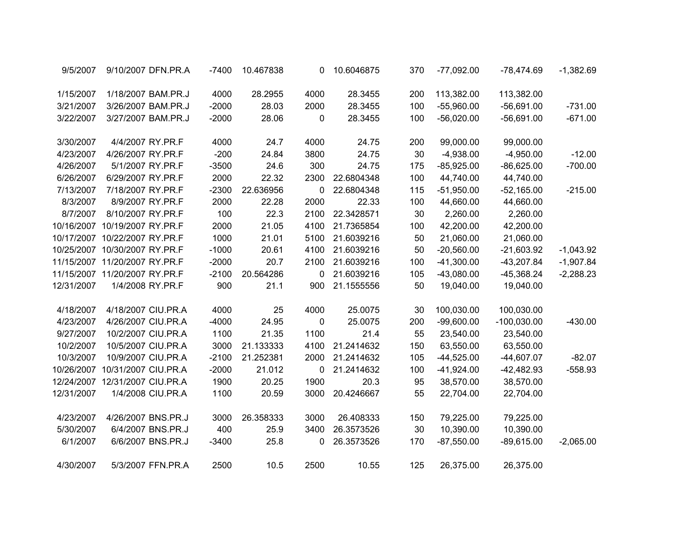| 9/5/2007   | 9/10/2007 DFN.PR.A            |                   | $-7400$ | 10.467838 | 0    | 10.6046875 | 370 | $-77,092.00$ | $-78,474.69$  | $-1,382.69$ |
|------------|-------------------------------|-------------------|---------|-----------|------|------------|-----|--------------|---------------|-------------|
| 1/15/2007  | 1/18/2007 BAM.PR.J            |                   | 4000    | 28.2955   | 4000 | 28.3455    | 200 | 113,382.00   | 113,382.00    |             |
| 3/21/2007  | 3/26/2007 BAM.PR.J            |                   | $-2000$ | 28.03     | 2000 | 28.3455    | 100 | $-55,960.00$ | $-56,691.00$  | $-731.00$   |
| 3/22/2007  | 3/27/2007 BAM.PR.J            |                   | $-2000$ | 28.06     | 0    | 28.3455    | 100 | $-56,020.00$ | $-56,691.00$  | $-671.00$   |
| 3/30/2007  | 4/4/2007 RY.PR.F              |                   | 4000    | 24.7      | 4000 | 24.75      | 200 | 99,000.00    | 99,000.00     |             |
| 4/23/2007  | 4/26/2007 RY.PR.F             |                   | $-200$  | 24.84     | 3800 | 24.75      | 30  | $-4,938.00$  | $-4,950.00$   | $-12.00$    |
| 4/26/2007  | 5/1/2007 RY.PR.F              |                   | $-3500$ | 24.6      | 300  | 24.75      | 175 | $-85,925.00$ | $-86,625.00$  | $-700.00$   |
| 6/26/2007  | 6/29/2007 RY.PR.F             |                   | 2000    | 22.32     | 2300 | 22.6804348 | 100 | 44,740.00    | 44,740.00     |             |
| 7/13/2007  | 7/18/2007 RY.PR.F             |                   | $-2300$ | 22.636956 | 0    | 22.6804348 | 115 | $-51,950.00$ | $-52,165.00$  | $-215.00$   |
| 8/3/2007   | 8/9/2007 RY.PR.F              |                   | 2000    | 22.28     | 2000 | 22.33      | 100 | 44,660.00    | 44,660.00     |             |
| 8/7/2007   | 8/10/2007 RY.PR.F             |                   | 100     | 22.3      | 2100 | 22.3428571 | 30  | 2,260.00     | 2,260.00      |             |
|            | 10/16/2007 10/19/2007 RY.PR.F |                   | 2000    | 21.05     | 4100 | 21.7365854 | 100 | 42,200.00    | 42,200.00     |             |
|            | 10/17/2007 10/22/2007 RY.PR.F |                   | 1000    | 21.01     | 5100 | 21.6039216 | 50  | 21,060.00    | 21,060.00     |             |
|            | 10/25/2007 10/30/2007 RY.PR.F |                   | $-1000$ | 20.61     | 4100 | 21.6039216 | 50  | $-20,560.00$ | $-21,603.92$  | $-1,043.92$ |
|            | 11/15/2007 11/20/2007 RY.PR.F |                   | $-2000$ | 20.7      | 2100 | 21.6039216 | 100 | $-41,300.00$ | $-43,207.84$  | $-1,907.84$ |
|            | 11/15/2007 11/20/2007 RY.PR.F |                   | $-2100$ | 20.564286 | 0    | 21.6039216 | 105 | $-43,080.00$ | $-45,368.24$  | $-2,288.23$ |
| 12/31/2007 | 1/4/2008 RY.PR.F              |                   | 900     | 21.1      | 900  | 21.1555556 | 50  | 19,040.00    | 19,040.00     |             |
| 4/18/2007  | 4/18/2007 CIU.PR.A            |                   | 4000    | 25        | 4000 | 25.0075    | 30  | 100,030.00   | 100,030.00    |             |
| 4/23/2007  | 4/26/2007 CIU.PR.A            |                   | $-4000$ | 24.95     | 0    | 25.0075    | 200 | $-99,600.00$ | $-100,030.00$ | $-430.00$   |
| 9/27/2007  | 10/2/2007 CIU.PR.A            |                   | 1100    | 21.35     | 1100 | 21.4       | 55  | 23,540.00    | 23,540.00     |             |
| 10/2/2007  | 10/5/2007 CIU.PR.A            |                   | 3000    | 21.133333 | 4100 | 21.2414632 | 150 | 63,550.00    | 63,550.00     |             |
| 10/3/2007  | 10/9/2007 CIU.PR.A            |                   | $-2100$ | 21.252381 | 2000 | 21.2414632 | 105 | $-44,525.00$ | $-44,607.07$  | $-82.07$    |
| 10/26/2007 | 10/31/2007 CIU.PR.A           |                   | $-2000$ | 21.012    | 0    | 21.2414632 | 100 | $-41,924.00$ | $-42,482.93$  | $-558.93$   |
| 12/24/2007 | 12/31/2007 CIU.PR.A           |                   | 1900    | 20.25     | 1900 | 20.3       | 95  | 38,570.00    | 38,570.00     |             |
| 12/31/2007 |                               | 1/4/2008 CIU.PR.A | 1100    | 20.59     | 3000 | 20.4246667 | 55  | 22,704.00    | 22,704.00     |             |
| 4/23/2007  | 4/26/2007 BNS.PR.J            |                   | 3000    | 26.358333 | 3000 | 26.408333  | 150 | 79,225.00    | 79,225.00     |             |
| 5/30/2007  |                               | 6/4/2007 BNS.PR.J | 400     | 25.9      | 3400 | 26.3573526 | 30  | 10,390.00    | 10,390.00     |             |
| 6/1/2007   |                               | 6/6/2007 BNS.PR.J | $-3400$ | 25.8      | 0    | 26.3573526 | 170 | $-87,550.00$ | $-89,615.00$  | $-2,065.00$ |
| 4/30/2007  |                               | 5/3/2007 FFN.PR.A | 2500    | 10.5      | 2500 | 10.55      | 125 | 26,375.00    | 26,375.00     |             |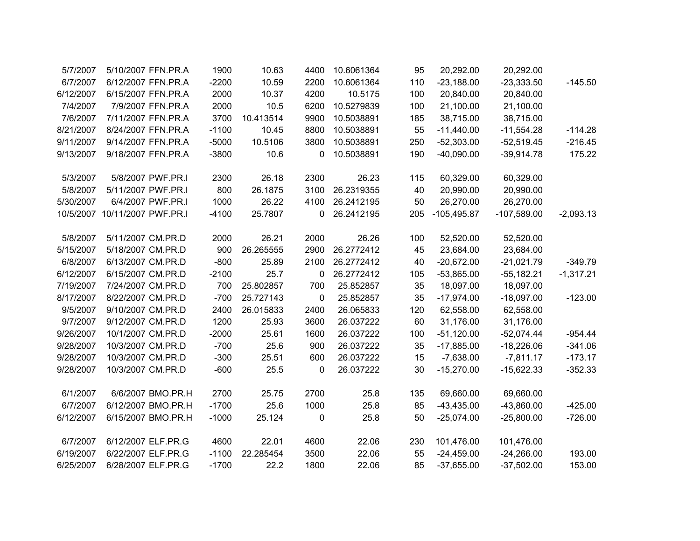| 5/7/2007  | 5/10/2007 FFN.PR.A            | 1900    | 10.63     | 4400        | 10.6061364 | 95  | 20,292.00     | 20,292.00     |             |
|-----------|-------------------------------|---------|-----------|-------------|------------|-----|---------------|---------------|-------------|
| 6/7/2007  | 6/12/2007 FFN.PR.A            | $-2200$ | 10.59     | 2200        | 10.6061364 | 110 | $-23,188.00$  | $-23,333.50$  | $-145.50$   |
| 6/12/2007 | 6/15/2007 FFN.PR.A            | 2000    | 10.37     | 4200        | 10.5175    | 100 | 20,840.00     | 20,840.00     |             |
| 7/4/2007  | 7/9/2007 FFN.PR.A             | 2000    | 10.5      | 6200        | 10.5279839 | 100 | 21,100.00     | 21,100.00     |             |
| 7/6/2007  | 7/11/2007 FFN.PR.A            | 3700    | 10.413514 | 9900        | 10.5038891 | 185 | 38,715.00     | 38,715.00     |             |
| 8/21/2007 | 8/24/2007 FFN.PR.A            | $-1100$ | 10.45     | 8800        | 10.5038891 | 55  | $-11,440.00$  | $-11,554.28$  | $-114.28$   |
| 9/11/2007 | 9/14/2007 FFN.PR.A            | $-5000$ | 10.5106   | 3800        | 10.5038891 | 250 | $-52,303.00$  | $-52,519.45$  | $-216.45$   |
| 9/13/2007 | 9/18/2007 FFN.PR.A            | $-3800$ | 10.6      | 0           | 10.5038891 | 190 | $-40,090.00$  | $-39,914.78$  | 175.22      |
|           |                               |         |           |             |            |     |               |               |             |
| 5/3/2007  | 5/8/2007 PWF.PR.I             | 2300    | 26.18     | 2300        | 26.23      | 115 | 60,329.00     | 60,329.00     |             |
| 5/8/2007  | 5/11/2007 PWF.PR.I            | 800     | 26.1875   | 3100        | 26.2319355 | 40  | 20,990.00     | 20,990.00     |             |
| 5/30/2007 | 6/4/2007 PWF.PR.I             | 1000    | 26.22     | 4100        | 26.2412195 | 50  | 26,270.00     | 26,270.00     |             |
|           | 10/5/2007 10/11/2007 PWF.PR.I | $-4100$ | 25.7807   | $\mathbf 0$ | 26.2412195 | 205 | $-105,495.87$ | $-107,589.00$ | $-2,093.13$ |
| 5/8/2007  | 5/11/2007 CM.PR.D             | 2000    | 26.21     | 2000        | 26.26      | 100 | 52,520.00     | 52,520.00     |             |
| 5/15/2007 | 5/18/2007 CM.PR.D             | 900     | 26.265555 | 2900        | 26.2772412 | 45  | 23,684.00     | 23,684.00     |             |
| 6/8/2007  | 6/13/2007 CM.PR.D             | $-800$  | 25.89     | 2100        | 26.2772412 | 40  | $-20,672.00$  | $-21,021.79$  | $-349.79$   |
| 6/12/2007 | 6/15/2007 CM.PR.D             | $-2100$ | 25.7      | 0           | 26.2772412 | 105 | $-53,865.00$  | $-55,182.21$  | $-1,317.21$ |
| 7/19/2007 | 7/24/2007 CM.PR.D             | 700     | 25.802857 | 700         | 25.852857  | 35  | 18,097.00     | 18,097.00     |             |
| 8/17/2007 | 8/22/2007 CM.PR.D             | $-700$  | 25.727143 | 0           | 25.852857  | 35  | $-17,974.00$  | $-18,097.00$  | $-123.00$   |
| 9/5/2007  | 9/10/2007 CM.PR.D             | 2400    | 26.015833 | 2400        | 26.065833  | 120 | 62,558.00     | 62,558.00     |             |
| 9/7/2007  | 9/12/2007 CM.PR.D             | 1200    | 25.93     | 3600        | 26.037222  | 60  | 31,176.00     | 31,176.00     |             |
| 9/26/2007 | 10/1/2007 CM.PR.D             | $-2000$ | 25.61     | 1600        | 26.037222  | 100 | $-51,120.00$  | $-52,074.44$  | $-954.44$   |
| 9/28/2007 | 10/3/2007 CM.PR.D             | $-700$  | 25.6      | 900         | 26.037222  | 35  | $-17,885.00$  | $-18,226.06$  | $-341.06$   |
| 9/28/2007 | 10/3/2007 CM.PR.D             | $-300$  | 25.51     | 600         | 26.037222  | 15  | $-7,638.00$   | $-7,811.17$   | $-173.17$   |
| 9/28/2007 | 10/3/2007 CM.PR.D             | $-600$  | 25.5      | 0           | 26.037222  | 30  | $-15,270.00$  | $-15,622.33$  | $-352.33$   |
| 6/1/2007  | 6/6/2007 BMO.PR.H             | 2700    | 25.75     | 2700        | 25.8       | 135 | 69,660.00     | 69,660.00     |             |
| 6/7/2007  | 6/12/2007 BMO.PR.H            | $-1700$ | 25.6      | 1000        | 25.8       | 85  | $-43,435.00$  | $-43,860.00$  | $-425.00$   |
| 6/12/2007 | 6/15/2007 BMO.PR.H            |         |           |             |            | 50  |               | $-25,800.00$  | $-726.00$   |
|           |                               | $-1000$ | 25.124    | 0           | 25.8       |     | $-25,074.00$  |               |             |
| 6/7/2007  | 6/12/2007 ELF.PR.G            | 4600    | 22.01     | 4600        | 22.06      | 230 | 101,476.00    | 101,476.00    |             |
| 6/19/2007 | 6/22/2007 ELF.PR.G            | $-1100$ | 22.285454 | 3500        | 22.06      | 55  | $-24,459.00$  | $-24,266.00$  | 193.00      |
| 6/25/2007 | 6/28/2007 ELF.PR.G            | $-1700$ | 22.2      | 1800        | 22.06      | 85  | $-37,655.00$  | $-37,502.00$  | 153.00      |
|           |                               |         |           |             |            |     |               |               |             |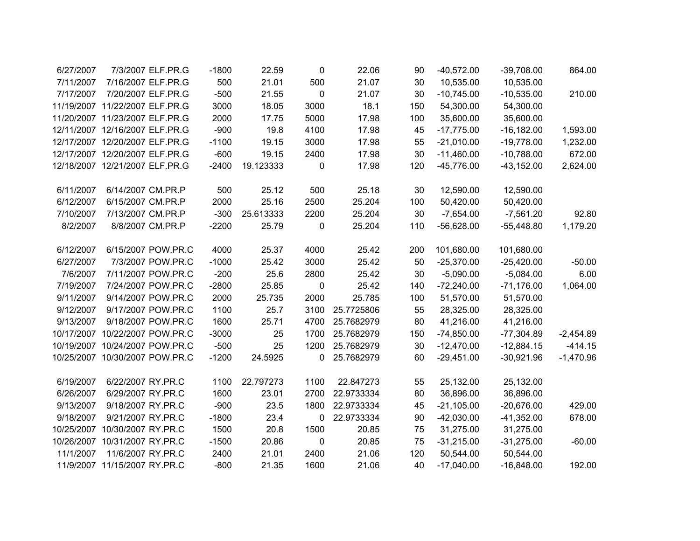| 6/27/2007  | 7/3/2007 ELF.PR.G              | $-1800$ | 22.59     | 0           | 22.06      | 90  | $-40,572.00$ | $-39,708.00$  | 864.00      |
|------------|--------------------------------|---------|-----------|-------------|------------|-----|--------------|---------------|-------------|
| 7/11/2007  | 7/16/2007 ELF.PR.G             | 500     | 21.01     | 500         | 21.07      | 30  | 10,535.00    | 10,535.00     |             |
| 7/17/2007  | 7/20/2007 ELF.PR.G             | $-500$  | 21.55     | 0           | 21.07      | 30  | $-10,745.00$ | $-10,535.00$  | 210.00      |
|            | 11/19/2007 11/22/2007 ELF.PR.G | 3000    | 18.05     | 3000        | 18.1       | 150 | 54,300.00    | 54,300.00     |             |
|            | 11/20/2007 11/23/2007 ELF.PR.G | 2000    | 17.75     | 5000        | 17.98      | 100 | 35,600.00    | 35,600.00     |             |
|            | 12/11/2007 12/16/2007 ELF.PR.G | $-900$  | 19.8      | 4100        | 17.98      | 45  | $-17,775.00$ | $-16, 182.00$ | 1,593.00    |
|            | 12/17/2007 12/20/2007 ELF.PR.G | $-1100$ | 19.15     | 3000        | 17.98      | 55  | $-21,010.00$ | $-19,778.00$  | 1,232.00    |
|            | 12/17/2007 12/20/2007 ELF.PR.G | $-600$  | 19.15     | 2400        | 17.98      | 30  | $-11,460.00$ | $-10,788.00$  | 672.00      |
|            | 12/18/2007 12/21/2007 ELF.PR.G | $-2400$ | 19.123333 | 0           | 17.98      | 120 | $-45,776.00$ | $-43, 152.00$ | 2,624.00    |
| 6/11/2007  | 6/14/2007 CM.PR.P              | 500     | 25.12     | 500         | 25.18      | 30  | 12,590.00    | 12,590.00     |             |
| 6/12/2007  | 6/15/2007 CM.PR.P              | 2000    | 25.16     | 2500        | 25.204     | 100 | 50,420.00    | 50,420.00     |             |
| 7/10/2007  | 7/13/2007 CM.PR.P              | $-300$  | 25.613333 | 2200        | 25.204     | 30  | $-7,654.00$  | $-7,561.20$   | 92.80       |
| 8/2/2007   | 8/8/2007 CM.PR.P               | $-2200$ | 25.79     | 0           | 25.204     | 110 | $-56,628.00$ | $-55,448.80$  | 1,179.20    |
| 6/12/2007  | 6/15/2007 POW.PR.C             | 4000    | 25.37     | 4000        | 25.42      | 200 | 101,680.00   | 101,680.00    |             |
| 6/27/2007  | 7/3/2007 POW.PR.C              | $-1000$ | 25.42     | 3000        | 25.42      | 50  | $-25,370.00$ | $-25,420.00$  | $-50.00$    |
| 7/6/2007   | 7/11/2007 POW.PR.C             | $-200$  | 25.6      | 2800        | 25.42      | 30  | $-5,090.00$  | $-5,084.00$   | 6.00        |
| 7/19/2007  | 7/24/2007 POW.PR.C             | $-2800$ | 25.85     | $\mathbf 0$ | 25.42      | 140 | $-72,240.00$ | $-71,176.00$  | 1,064.00    |
| 9/11/2007  | 9/14/2007 POW.PR.C             | 2000    | 25.735    | 2000        | 25.785     | 100 | 51,570.00    | 51,570.00     |             |
| 9/12/2007  | 9/17/2007 POW.PR.C             | 1100    | 25.7      | 3100        | 25.7725806 | 55  | 28,325.00    | 28,325.00     |             |
| 9/13/2007  | 9/18/2007 POW.PR.C             | 1600    | 25.71     | 4700        | 25.7682979 | 80  | 41,216.00    | 41,216.00     |             |
| 10/17/2007 | 10/22/2007 POW.PR.C            | $-3000$ | 25        | 1700        | 25.7682979 | 150 | $-74,850.00$ | $-77,304.89$  | $-2,454.89$ |
|            | 10/19/2007 10/24/2007 POW.PR.C | $-500$  | 25        | 1200        | 25.7682979 | 30  | $-12,470.00$ | $-12,884.15$  | $-414.15$   |
|            | 10/25/2007 10/30/2007 POW.PR.C | $-1200$ | 24.5925   | $\mathbf 0$ | 25.7682979 | 60  | $-29,451.00$ | $-30,921.96$  | $-1,470.96$ |
| 6/19/2007  | 6/22/2007 RY.PR.C              | 1100    | 22.797273 | 1100        | 22.847273  | 55  | 25,132.00    | 25,132.00     |             |
| 6/26/2007  | 6/29/2007 RY.PR.C              | 1600    | 23.01     | 2700        | 22.9733334 | 80  | 36,896.00    | 36,896.00     |             |
| 9/13/2007  | 9/18/2007 RY.PR.C              | $-900$  | 23.5      | 1800        | 22.9733334 | 45  | $-21,105.00$ | $-20,676.00$  | 429.00      |
| 9/18/2007  | 9/21/2007 RY.PR.C              | $-1800$ | 23.4      | $\mathbf 0$ | 22.9733334 | 90  | $-42,030.00$ | $-41,352.00$  | 678.00      |
| 10/25/2007 | 10/30/2007 RY.PR.C             | 1500    | 20.8      | 1500        | 20.85      | 75  | 31,275.00    | 31,275.00     |             |
| 10/26/2007 | 10/31/2007 RY.PR.C             | $-1500$ | 20.86     | $\pmb{0}$   | 20.85      | 75  | $-31,215.00$ | $-31,275.00$  | $-60.00$    |
| 11/1/2007  | 11/6/2007 RY.PR.C              | 2400    | 21.01     | 2400        | 21.06      | 120 | 50,544.00    | 50,544.00     |             |
|            | 11/9/2007 11/15/2007 RY.PR.C   | $-800$  | 21.35     | 1600        | 21.06      | 40  | $-17,040.00$ | $-16,848.00$  | 192.00      |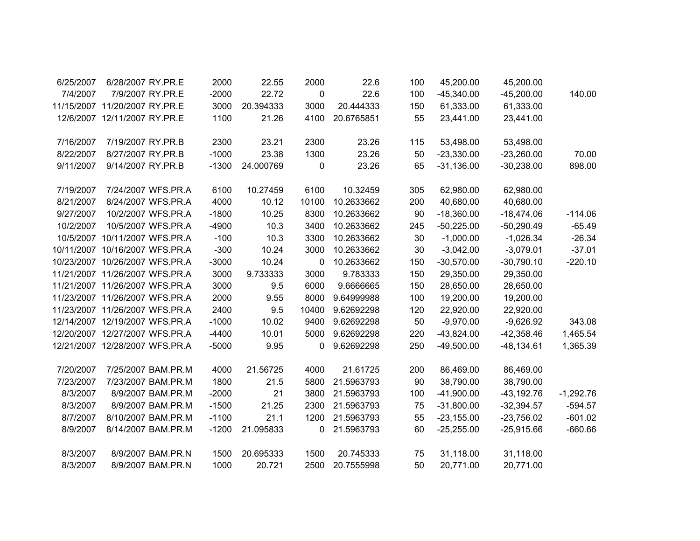| 6/25/2007 | 6/28/2007 RY.PR.E              |                    | 2000    | 22.55     | 2000        | 22.6       | 100 | 45,200.00    | 45,200.00     |             |
|-----------|--------------------------------|--------------------|---------|-----------|-------------|------------|-----|--------------|---------------|-------------|
| 7/4/2007  | 7/9/2007 RY.PR.E               |                    | $-2000$ | 22.72     | 0           | 22.6       | 100 | $-45,340.00$ | $-45,200.00$  | 140.00      |
|           | 11/15/2007 11/20/2007 RY.PR.E  |                    | 3000    | 20.394333 | 3000        | 20.444333  | 150 | 61,333.00    | 61,333.00     |             |
|           | 12/6/2007 12/11/2007 RY.PR.E   |                    | 1100    | 21.26     | 4100        | 20.6765851 | 55  | 23,441.00    | 23,441.00     |             |
| 7/16/2007 | 7/19/2007 RY.PR.B              |                    | 2300    | 23.21     | 2300        | 23.26      | 115 | 53,498.00    | 53,498.00     |             |
| 8/22/2007 | 8/27/2007 RY.PR.B              |                    | $-1000$ | 23.38     | 1300        | 23.26      | 50  | $-23,330.00$ | $-23,260.00$  | 70.00       |
| 9/11/2007 | 9/14/2007 RY.PR.B              |                    | $-1300$ | 24.000769 | 0           | 23.26      | 65  | $-31,136.00$ | $-30,238.00$  | 898.00      |
| 7/19/2007 |                                | 7/24/2007 WFS.PR.A | 6100    | 10.27459  | 6100        | 10.32459   | 305 | 62,980.00    | 62,980.00     |             |
| 8/21/2007 |                                | 8/24/2007 WFS.PR.A | 4000    | 10.12     | 10100       | 10.2633662 | 200 | 40,680.00    | 40,680.00     |             |
| 9/27/2007 |                                | 10/2/2007 WFS.PR.A | $-1800$ | 10.25     | 8300        | 10.2633662 | 90  | $-18,360.00$ | $-18,474.06$  | $-114.06$   |
| 10/2/2007 |                                | 10/5/2007 WFS.PR.A | $-4900$ | 10.3      | 3400        | 10.2633662 | 245 | $-50,225.00$ | $-50,290.49$  | $-65.49$    |
| 10/5/2007 | 10/11/2007 WFS.PR.A            |                    | $-100$  | 10.3      | 3300        | 10.2633662 | 30  | $-1,000.00$  | $-1,026.34$   | $-26.34$    |
|           | 10/11/2007 10/16/2007 WFS.PR.A |                    | $-300$  | 10.24     | 3000        | 10.2633662 | 30  | $-3,042.00$  | $-3,079.01$   | $-37.01$    |
|           | 10/23/2007 10/26/2007 WFS.PR.A |                    | $-3000$ | 10.24     | 0           | 10.2633662 | 150 | $-30,570.00$ | $-30,790.10$  | $-220.10$   |
|           | 11/21/2007 11/26/2007 WFS.PR.A |                    | 3000    | 9.733333  | 3000        | 9.783333   | 150 | 29,350.00    | 29,350.00     |             |
|           | 11/21/2007 11/26/2007 WFS.PR.A |                    | 3000    | 9.5       | 6000        | 9.6666665  | 150 | 28,650.00    | 28,650.00     |             |
|           | 11/23/2007 11/26/2007 WFS.PR.A |                    | 2000    | 9.55      | 8000        | 9.64999988 | 100 | 19,200.00    | 19,200.00     |             |
|           | 11/23/2007 11/26/2007 WFS.PR.A |                    | 2400    | 9.5       | 10400       | 9.62692298 | 120 | 22,920.00    | 22,920.00     |             |
|           | 12/14/2007 12/19/2007 WFS.PR.A |                    | $-1000$ | 10.02     | 9400        | 9.62692298 | 50  | $-9,970.00$  | $-9,626.92$   | 343.08      |
|           | 12/20/2007 12/27/2007 WFS.PR.A |                    | $-4400$ | 10.01     | 5000        | 9.62692298 | 220 | $-43,824.00$ | $-42,358.46$  | 1,465.54    |
|           | 12/21/2007 12/28/2007 WFS.PR.A |                    | $-5000$ | 9.95      | 0           | 9.62692298 | 250 | $-49,500.00$ | $-48, 134.61$ | 1,365.39    |
| 7/20/2007 |                                | 7/25/2007 BAM.PR.M | 4000    | 21.56725  | 4000        | 21.61725   | 200 | 86,469.00    | 86,469.00     |             |
| 7/23/2007 |                                | 7/23/2007 BAM.PR.M | 1800    | 21.5      | 5800        | 21.5963793 | 90  | 38,790.00    | 38,790.00     |             |
| 8/3/2007  |                                | 8/9/2007 BAM.PR.M  | $-2000$ | 21        | 3800        | 21.5963793 | 100 | $-41,900.00$ | $-43, 192.76$ | $-1,292.76$ |
| 8/3/2007  |                                | 8/9/2007 BAM.PR.M  | $-1500$ | 21.25     | 2300        | 21.5963793 | 75  | $-31,800.00$ | $-32,394.57$  | $-594.57$   |
| 8/7/2007  |                                | 8/10/2007 BAM.PR.M | $-1100$ | 21.1      | 1200        | 21.5963793 | 55  | $-23,155.00$ | $-23,756.02$  | $-601.02$   |
| 8/9/2007  |                                | 8/14/2007 BAM.PR.M | $-1200$ | 21.095833 | $\mathbf 0$ | 21.5963793 | 60  | $-25,255.00$ | $-25,915.66$  | $-660.66$   |
| 8/3/2007  |                                | 8/9/2007 BAM.PR.N  | 1500    | 20.695333 | 1500        | 20.745333  | 75  | 31,118.00    | 31,118.00     |             |
| 8/3/2007  |                                | 8/9/2007 BAM.PR.N  | 1000    | 20.721    | 2500        | 20.7555998 | 50  | 20,771.00    | 20,771.00     |             |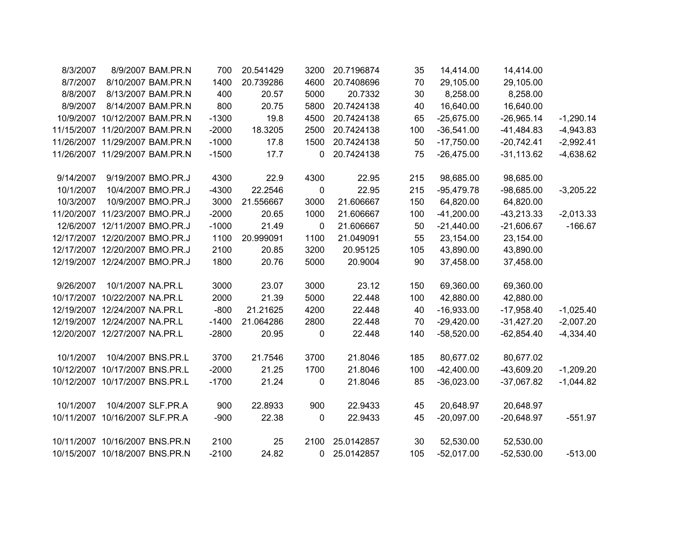| 8/3/2007   |                                | 8/9/2007 BAM.PR.N | 700     | 20.541429 | 3200        | 20.7196874 | 35  | 14,414.00    | 14,414.00    |             |
|------------|--------------------------------|-------------------|---------|-----------|-------------|------------|-----|--------------|--------------|-------------|
| 8/7/2007   | 8/10/2007 BAM.PR.N             |                   | 1400    | 20.739286 | 4600        | 20.7408696 | 70  | 29,105.00    | 29,105.00    |             |
| 8/8/2007   | 8/13/2007 BAM.PR.N             |                   | 400     | 20.57     | 5000        | 20.7332    | 30  | 8,258.00     | 8,258.00     |             |
| 8/9/2007   | 8/14/2007 BAM.PR.N             |                   | 800     | 20.75     | 5800        | 20.7424138 | 40  | 16,640.00    | 16,640.00    |             |
|            | 10/9/2007 10/12/2007 BAM.PR.N  |                   | $-1300$ | 19.8      | 4500        | 20.7424138 | 65  | $-25,675.00$ | $-26,965.14$ | $-1,290.14$ |
|            | 11/15/2007 11/20/2007 BAM.PR.N |                   | $-2000$ | 18.3205   | 2500        | 20.7424138 | 100 | $-36,541.00$ | $-41,484.83$ | $-4,943.83$ |
|            | 11/26/2007 11/29/2007 BAM.PR.N |                   | $-1000$ | 17.8      | 1500        | 20.7424138 | 50  | $-17,750.00$ | $-20,742.41$ | $-2,992.41$ |
|            | 11/26/2007 11/29/2007 BAM.PR.N |                   | $-1500$ | 17.7      | $\mathbf 0$ | 20.7424138 | 75  | $-26,475.00$ | $-31,113.62$ | $-4,638.62$ |
| 9/14/2007  | 9/19/2007 BMO.PR.J             |                   | 4300    | 22.9      | 4300        | 22.95      | 215 | 98,685.00    | 98,685.00    |             |
| 10/1/2007  | 10/4/2007 BMO.PR.J             |                   | $-4300$ | 22.2546   | $\pmb{0}$   | 22.95      | 215 | $-95,479.78$ | $-98,685.00$ | $-3,205.22$ |
| 10/3/2007  | 10/9/2007 BMO.PR.J             |                   | 3000    | 21.556667 | 3000        | 21.606667  | 150 | 64,820.00    | 64,820.00    |             |
|            | 11/20/2007 11/23/2007 BMO.PR.J |                   | $-2000$ | 20.65     | 1000        | 21.606667  | 100 | $-41,200.00$ | $-43,213.33$ | $-2,013.33$ |
|            | 12/6/2007 12/11/2007 BMO.PR.J  |                   | $-1000$ | 21.49     | $\mathbf 0$ | 21.606667  | 50  | $-21,440.00$ | $-21,606.67$ | $-166.67$   |
|            | 12/17/2007 12/20/2007 BMO.PR.J |                   | 1100    | 20.999091 | 1100        | 21.049091  | 55  | 23,154.00    | 23,154.00    |             |
|            | 12/17/2007 12/20/2007 BMO.PR.J |                   | 2100    | 20.85     | 3200        | 20.95125   | 105 | 43,890.00    | 43,890.00    |             |
|            | 12/19/2007 12/24/2007 BMO.PR.J |                   | 1800    | 20.76     | 5000        | 20.9004    | 90  | 37,458.00    | 37,458.00    |             |
| 9/26/2007  | 10/1/2007 NA.PR.L              |                   | 3000    | 23.07     | 3000        | 23.12      | 150 | 69,360.00    | 69,360.00    |             |
| 10/17/2007 | 10/22/2007 NA.PR.L             |                   | 2000    | 21.39     | 5000        | 22.448     | 100 | 42,880.00    | 42,880.00    |             |
|            | 12/19/2007 12/24/2007 NA.PR.L  |                   | $-800$  | 21.21625  | 4200        | 22.448     | 40  | $-16,933.00$ | $-17,958.40$ | $-1,025.40$ |
|            | 12/19/2007 12/24/2007 NA.PR.L  |                   | $-1400$ | 21.064286 | 2800        | 22.448     | 70  | $-29,420.00$ | $-31,427.20$ | $-2,007.20$ |
|            | 12/20/2007 12/27/2007 NA.PR.L  |                   | $-2800$ | 20.95     | $\mathbf 0$ | 22.448     | 140 | $-58,520.00$ | $-62,854.40$ | $-4,334.40$ |
| 10/1/2007  | 10/4/2007 BNS.PR.L             |                   | 3700    | 21.7546   | 3700        | 21.8046    | 185 | 80,677.02    | 80,677.02    |             |
| 10/12/2007 | 10/17/2007 BNS.PR.L            |                   | $-2000$ | 21.25     | 1700        | 21.8046    | 100 | $-42,400.00$ | $-43,609.20$ | $-1,209.20$ |
|            | 10/12/2007 10/17/2007 BNS.PR.L |                   | $-1700$ | 21.24     | 0           | 21.8046    | 85  | $-36,023.00$ | $-37,067.82$ | $-1,044.82$ |
| 10/1/2007  | 10/4/2007 SLF.PR.A             |                   | 900     | 22.8933   | 900         | 22.9433    | 45  | 20,648.97    | 20,648.97    |             |
|            | 10/11/2007 10/16/2007 SLF.PR.A |                   | $-900$  | 22.38     | $\mathbf 0$ | 22.9433    | 45  | $-20,097.00$ | $-20,648.97$ | $-551.97$   |
|            | 10/11/2007 10/16/2007 BNS.PR.N |                   | 2100    | 25        | 2100        | 25.0142857 | 30  | 52,530.00    | 52,530.00    |             |
|            | 10/15/2007 10/18/2007 BNS.PR.N |                   | $-2100$ | 24.82     | $\mathbf 0$ | 25.0142857 | 105 | $-52,017.00$ | $-52,530.00$ | $-513.00$   |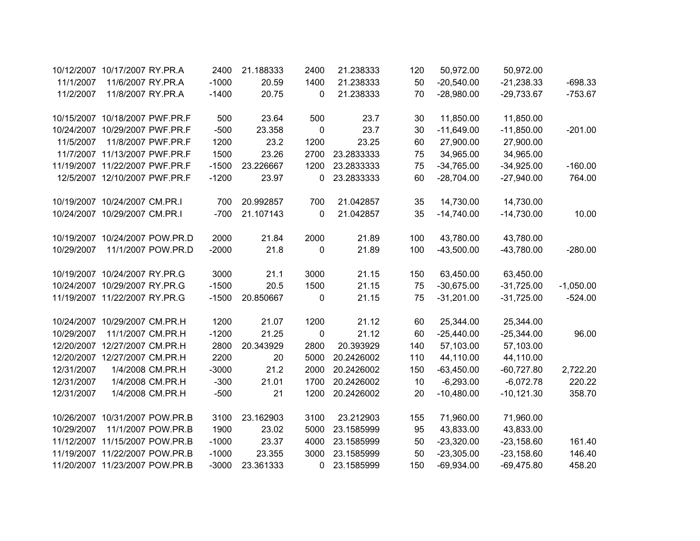| 10/12/2007 | 10/17/2007 RY.PR.A             |                    | 2400    | 21.188333 | 2400         | 21.238333  | 120 | 50,972.00    | 50,972.00     |             |
|------------|--------------------------------|--------------------|---------|-----------|--------------|------------|-----|--------------|---------------|-------------|
| 11/1/2007  | 11/6/2007 RY.PR.A              |                    | $-1000$ | 20.59     | 1400         | 21.238333  | 50  | $-20,540.00$ | $-21,238.33$  | $-698.33$   |
| 11/2/2007  | 11/8/2007 RY.PR.A              |                    | $-1400$ | 20.75     | 0            | 21.238333  | 70  | $-28,980.00$ | $-29,733.67$  | $-753.67$   |
|            |                                |                    |         |           |              |            |     |              |               |             |
|            | 10/15/2007 10/18/2007 PWF.PR.F |                    | 500     | 23.64     | 500          | 23.7       | 30  | 11,850.00    | 11,850.00     |             |
|            | 10/24/2007 10/29/2007 PWF.PR.F |                    | $-500$  | 23.358    | $\mathbf 0$  | 23.7       | 30  | $-11,649.00$ | $-11,850.00$  | $-201.00$   |
| 11/5/2007  |                                | 11/8/2007 PWF.PR.F | 1200    | 23.2      | 1200         | 23.25      | 60  | 27,900.00    | 27,900.00     |             |
|            | 11/7/2007 11/13/2007 PWF.PR.F  |                    | 1500    | 23.26     | 2700         | 23.2833333 | 75  | 34,965.00    | 34,965.00     |             |
|            | 11/19/2007 11/22/2007 PWF.PR.F |                    | $-1500$ | 23.226667 | 1200         | 23.2833333 | 75  | $-34,765.00$ | $-34,925.00$  | $-160.00$   |
|            | 12/5/2007 12/10/2007 PWF.PR.F  |                    | $-1200$ | 23.97     | 0            | 23.2833333 | 60  | $-28,704.00$ | $-27,940.00$  | 764.00      |
|            |                                |                    |         |           |              |            |     |              |               |             |
|            | 10/19/2007 10/24/2007 CM.PR.I  |                    | 700     | 20.992857 | 700          | 21.042857  | 35  | 14,730.00    | 14,730.00     |             |
|            | 10/24/2007 10/29/2007 CM.PR.I  |                    | $-700$  | 21.107143 | 0            | 21.042857  | 35  | $-14,740.00$ | $-14,730.00$  | 10.00       |
|            | 10/19/2007 10/24/2007 POW.PR.D |                    | 2000    | 21.84     | 2000         | 21.89      | 100 | 43,780.00    | 43,780.00     |             |
| 10/29/2007 |                                | 11/1/2007 POW.PR.D | $-2000$ | 21.8      | $\mathbf 0$  | 21.89      | 100 | $-43,500.00$ | $-43,780.00$  | $-280.00$   |
|            |                                |                    |         |           |              |            |     |              |               |             |
|            | 10/19/2007 10/24/2007 RY.PR.G  |                    | 3000    | 21.1      | 3000         | 21.15      | 150 | 63,450.00    | 63,450.00     |             |
|            | 10/24/2007 10/29/2007 RY.PR.G  |                    | $-1500$ | 20.5      | 1500         | 21.15      | 75  | $-30,675.00$ | $-31,725.00$  | $-1,050.00$ |
|            | 11/19/2007 11/22/2007 RY.PR.G  |                    | $-1500$ | 20.850667 | 0            | 21.15      | 75  | $-31,201.00$ | $-31,725.00$  | $-524.00$   |
|            |                                |                    |         |           |              |            |     |              |               |             |
| 10/24/2007 | 10/29/2007 CM.PR.H             |                    | 1200    | 21.07     | 1200         | 21.12      | 60  | 25,344.00    | 25,344.00     |             |
| 10/29/2007 | 11/1/2007 CM.PR.H              |                    | $-1200$ | 21.25     | $\mathbf 0$  | 21.12      | 60  | $-25,440.00$ | $-25,344.00$  | 96.00       |
|            | 12/20/2007 12/27/2007 CM.PR.H  |                    | 2800    | 20.343929 | 2800         | 20.393929  | 140 | 57,103.00    | 57,103.00     |             |
|            | 12/20/2007 12/27/2007 CM.PR.H  |                    | 2200    | 20        | 5000         | 20.2426002 | 110 | 44,110.00    | 44,110.00     |             |
| 12/31/2007 |                                | 1/4/2008 CM.PR.H   | $-3000$ | 21.2      | 2000         | 20.2426002 | 150 | $-63,450.00$ | $-60,727.80$  | 2,722.20    |
| 12/31/2007 |                                | 1/4/2008 CM.PR.H   | $-300$  | 21.01     | 1700         | 20.2426002 | 10  | $-6,293.00$  | $-6,072.78$   | 220.22      |
| 12/31/2007 |                                | 1/4/2008 CM.PR.H   | $-500$  | 21        | 1200         | 20.2426002 | 20  | $-10,480.00$ | $-10, 121.30$ | 358.70      |
|            |                                |                    |         |           |              |            |     |              |               |             |
| 10/26/2007 | 10/31/2007 POW.PR.B            |                    | 3100    | 23.162903 | 3100         | 23.212903  | 155 | 71,960.00    | 71,960.00     |             |
| 10/29/2007 |                                | 11/1/2007 POW.PR.B | 1900    | 23.02     | 5000         | 23.1585999 | 95  | 43,833.00    | 43,833.00     |             |
|            | 11/12/2007 11/15/2007 POW.PR.B |                    | $-1000$ | 23.37     | 4000         | 23.1585999 | 50  | $-23,320.00$ | $-23,158.60$  | 161.40      |
|            | 11/19/2007 11/22/2007 POW.PR.B |                    | $-1000$ | 23.355    | 3000         | 23.1585999 | 50  | $-23,305.00$ | $-23,158.60$  | 146.40      |
|            | 11/20/2007 11/23/2007 POW.PR.B |                    | $-3000$ | 23.361333 | $\mathbf{0}$ | 23.1585999 | 150 | $-69,934.00$ | $-69,475.80$  | 458.20      |